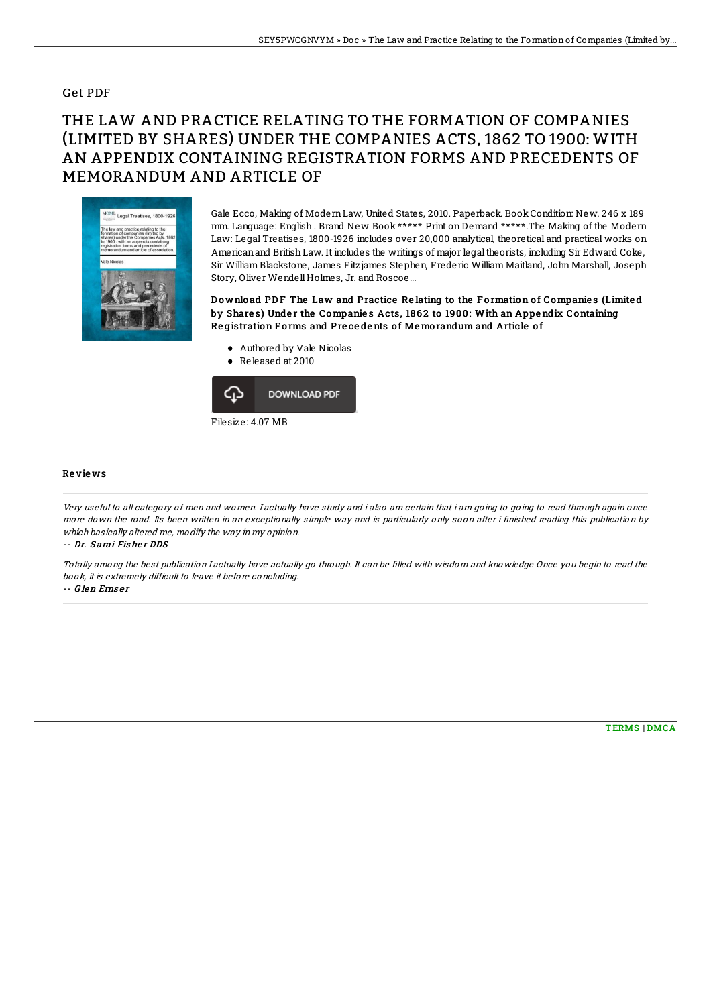## Get PDF

## THE LAW AND PRACTICE RELATING TO THE FORMATION OF COMPANIES (LIMITED BY SHARES) UNDER THE COMPANIES ACTS, 1862 TO 1900: WITH AN APPENDIX CONTAINING REGISTRATION FORMS AND PRECEDENTS OF MEMORANDUM AND ARTICLE OF



Gale Ecco, Making of ModernLaw, United States, 2010. Paperback. Book Condition: New. 246 x 189 mm. Language: English . Brand New Book \*\*\*\*\* Print on Demand \*\*\*\*\*.The Making of the Modern Law: Legal Treatises, 1800-1926 includes over 20,000 analytical, theoretical and practical works on Americanand BritishLaw. It includes the writings of major legaltheorists, including Sir Edward Coke, Sir William Blackstone, James Fitzjames Stephen, Frederic William Maitland, John Marshall, Joseph Story, Oliver WendellHolmes, Jr. and Roscoe...

Download PDF The Law and Practice Relating to the Formation of Companies (Limited by Shares) Under the Companies Acts, 1862 to 1900: With an Appendix Containing Registration Forms and Precedents of Memorandum and Article of

- Authored by Vale Nicolas
- Released at 2010



## Re vie ws

Very useful to all category of men and women. I actually have study and i also am certain that i am going to going to read through again once more down the road. Its been written in an exceptionally simple way and is particularly only soon after i finished reading this publication by which basically altered me, modify the way in my opinion. -- Dr. Sarai Fisher DDS

Totally among the best publication I actually have actually go through. It can be Blled with wisdom and knowledge Once you begin to read the book, it is extremely difficult to leave it before concluding.

-- G len Erns e <sup>r</sup>